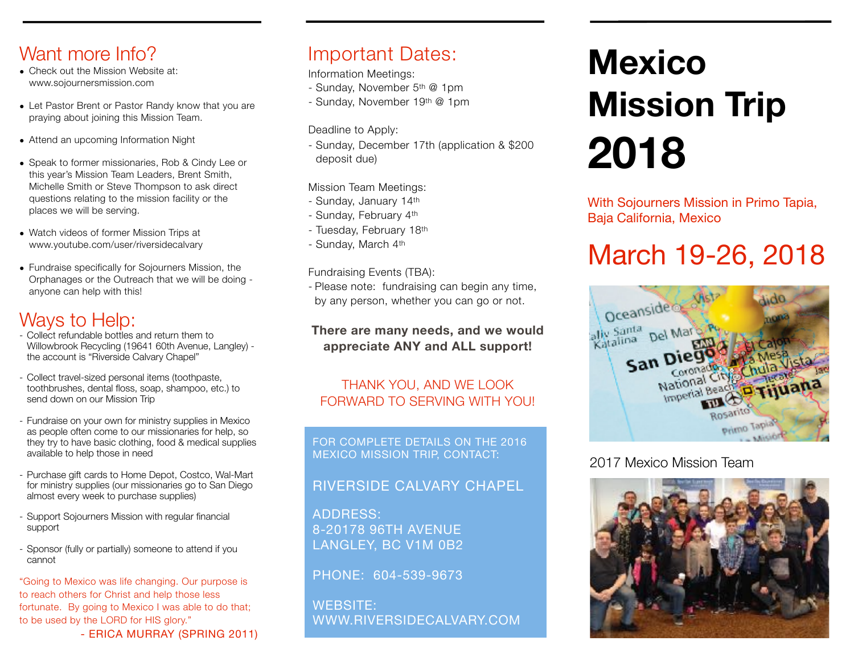## Want more Info?

- Check out the Mission Website at: [www.sojournersmission.com](http://www.sojournersmission.com)
- Let Pastor Brent or Pastor Randy know that you are praying about joining this Mission Team.
- Attend an upcoming Information Night
- Speak to former missionaries, Rob & Cindy Lee or this year's Mission Team Leaders, Brent Smith, Michelle Smith or Steve Thompson to ask direct questions relating to the mission facility or the places we will be serving.
- Watch videos of former Mission Trips at [www.youtube.com/](http://www.youtube.com)user/riversidecalvary
- Fundraise specifically for Sojourners Mission, the Orphanages or the Outreach that we will be doing anyone can help with this!

# Ways to Help:

- Collect refundable bottles and return them to Willowbrook Recycling (19641 60th Avenue, Langley) the account is "Riverside Calvary Chapel"
- Collect travel-sized personal items (toothpaste, toothbrushes, dental floss, soap, shampoo, etc.) to send down on our Mission Trip
- Fundraise on your own for ministry supplies in Mexico as people often come to our missionaries for help, so they try to have basic clothing, food & medical supplies available to help those in need
- Purchase gift cards to Home Depot, Costco, Wal-Mart for ministry supplies (our missionaries go to San Diego almost every week to purchase supplies)
- Support Sojourners Mission with regular financial support
- Sponsor (fully or partially) someone to attend if you cannot

"Going to Mexico was life changing. Our purpose is to reach others for Christ and help those less fortunate. By going to Mexico I was able to do that; to be used by the LORD for HIS glory." - ERICA MURRAY (SPRING 2011)

# Important Dates:

Information Meetings:

- Sunday, November 5th @ 1pm
- Sunday, November 19th @ 1pm

Deadline to Apply:

- Sunday, December 17th (application & \$200 deposit due)

Mission Team Meetings:

- Sunday, January 14th
- Sunday, February 4th
- Tuesday, February 18th
- Sunday, March 4th

Fundraising Events (TBA):

- Please note: fundraising can begin any time, by any person, whether you can go or not.

#### **There are many needs, and we would appreciate ANY and ALL support!**

### THANK YOU, AND WE LOOK FORWARD TO SERVING WITH YOU!

FOR COMPLETE DETAILS ON THE 2016 MEXICO MISSION TRIP, CONTACT:

### RIVERSIDE CALVARY CHAPEL

ADDRESS: 8-20178 96TH AVENUE LANGLEY, BC V1M 0B2

PHONE: 604-539-9673

WEBSITE: [WWW.RIVERSIDECALVARY.COM](http://www.riversidecalvary.com)

# **Mexico Mission Trip 2018**

With Sojourners Mission in Primo Tapia, Baja California, Mexico

# March 19-26, 2018



### 2017 Mexico Mission Team